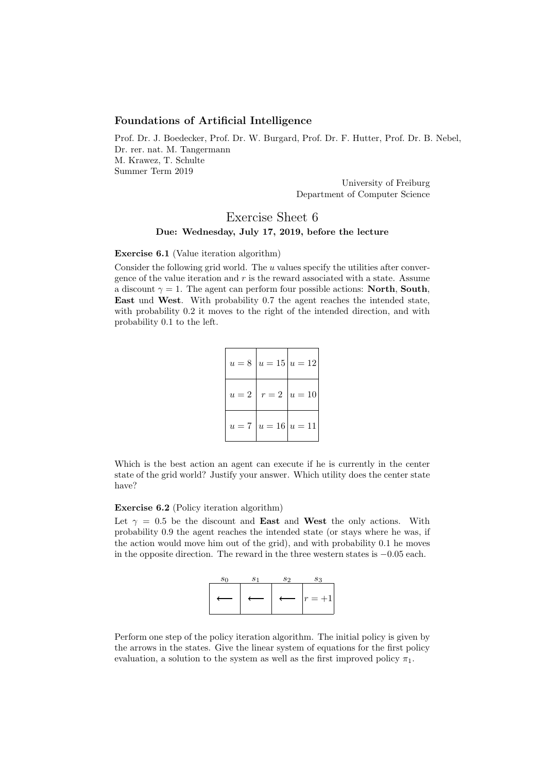## Foundations of Artificial Intelligence

Prof. Dr. J. Boedecker, Prof. Dr. W. Burgard, Prof. Dr. F. Hutter, Prof. Dr. B. Nebel, Dr. rer. nat. M. Tangermann M. Krawez, T. Schulte Summer Term 2019

> University of Freiburg Department of Computer Science

# Exercise Sheet 6 Due: Wednesday, July 17, 2019, before the lecture

#### Exercise 6.1 (Value iteration algorithm)

Consider the following grid world. The  $u$  values specify the utilities after convergence of the value iteration and  $r$  is the reward associated with a state. Assume a discount  $\gamma = 1$ . The agent can perform four possible actions: **North, South**, East und West. With probability 0.7 the agent reaches the intended state, with probability 0.2 it moves to the right of the intended direction, and with probability 0.1 to the left.

|  | $u = 8   u = 15   u = 12  $ |
|--|-----------------------------|
|  | $u = 2   r = 2   u = 10  $  |
|  | $u = 7   u = 16   u = 11  $ |

Which is the best action an agent can execute if he is currently in the center state of the grid world? Justify your answer. Which utility does the center state have?

## Exercise 6.2 (Policy iteration algorithm)

Let  $\gamma = 0.5$  be the discount and **East** and **West** the only actions. With probability 0.9 the agent reaches the intended state (or stays where he was, if the action would move him out of the grid), and with probability 0.1 he moves in the opposite direction. The reward in the three western states is −0.05 each.



Perform one step of the policy iteration algorithm. The initial policy is given by the arrows in the states. Give the linear system of equations for the first policy evaluation, a solution to the system as well as the first improved policy  $\pi_1$ .